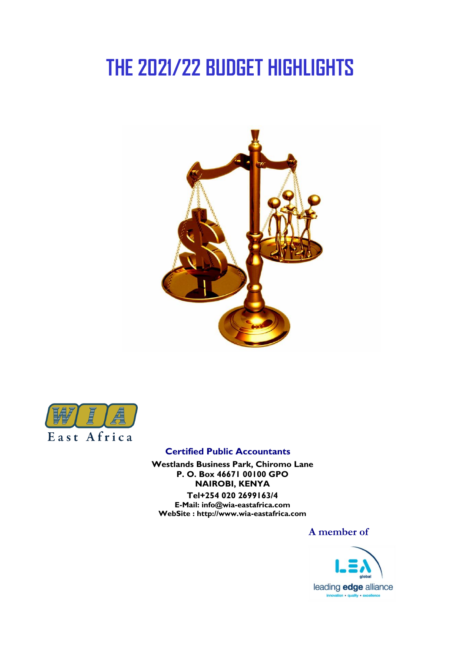



#### **Certified Public Accountants**

**Westlands Business Park, Chiromo Lane P. O. Box 46671 00100 GPO NAIROBI, KENYA Tel+254 020 2699163/4**

**E-Mail: info@wia-eastafrica.com WebSite : http://www.wia-eastafrica.com**

**A member of** 

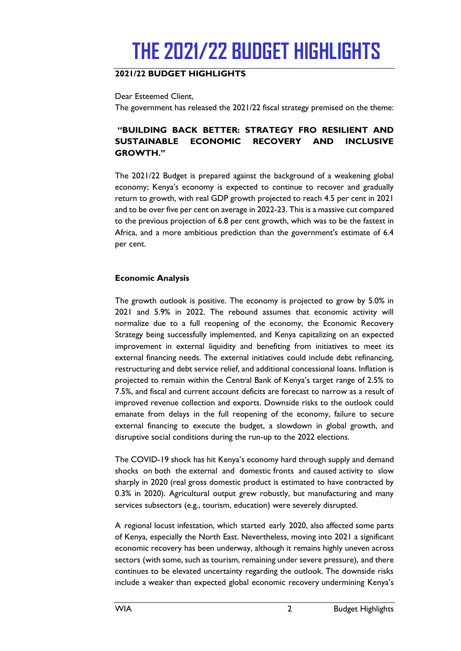# **2021/22 BUDGET HIGHLIGHTS**

Dear Esteemed Client,

The government has released the 2021/22 fiscal strategy premised on the theme:

## **"BUILDING BACK BETTER: STRATEGY FRO RESILIENT AND SUSTAINABLE ECONOMIC RECOVERY AND INCLUSIVE GROWTH.''**

The 2021/22 Budget is prepared against the background of a weakening global economy; Kenya's economy is expected to continue to recover and gradually return to growth, with real GDP growth projected to reach 4.5 per cent in 2021 and to be over five per cent on average in 2022-23. This is a massive cut compared to the previous projection of 6.8 per cent growth, which was to be the fastest in Africa, and a more ambitious prediction than the government's estimate of 6.4 per cent.

## **Economic Analysis**

The growth outlook is positive. The economy is projected to grow by 5.0% in 2021 and 5.9% in 2022. The rebound assumes that economic activity will normalize due to a full reopening of the economy, the Economic Recovery Strategy being successfully implemented, and Kenya capitalizing on an expected improvement in external liquidity and benefiting from initiatives to meet its external financing needs. The external initiatives could include debt refinancing, restructuring and debt service relief, and additional concessional loans. Inflation is projected to remain within the Central Bank of Kenya's target range of 2.5% to 7.5%, and fiscal and current account deficits are forecast to narrow as a result of improved revenue collection and exports. Downside risks to the outlook could emanate from delays in the full reopening of the economy, failure to secure external financing to execute the budget, a slowdown in global growth, and disruptive social conditions during the run-up to the 2022 elections.

The COVID-19 shock has hit Kenya's economy hard through supply and demand shocks on both the external and domestic fronts and caused activity to slow sharply in 2020 (real gross domestic product is estimated to have contracted by 0.3% in 2020). Agricultural output grew robustly, but manufacturing and many services subsectors (e.g., tourism, education) were severely disrupted.

A regional locust infestation, which started early 2020, also affected some parts of Kenya, especially the North East. Nevertheless, moving into 2021 a significant economic recovery has been underway, although it remains highly uneven across sectors (with some, such as tourism, remaining under severe pressure), and there continues to be elevated uncertainty regarding the outlook. The downside risks include a weaker than expected global economic recovery undermining Kenya's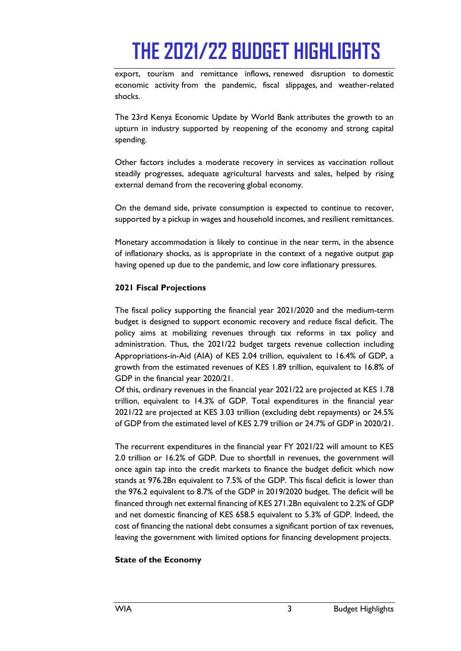export, tourism and remittance inflows, renewed disruption to domestic economic activity from the pandemic, fiscal slippages, and weather-related shocks.

The 23rd Kenya Economic Update by World Bank attributes the growth to an upturn in industry supported by reopening of the economy and strong capital spending.

Other factors includes a moderate recovery in services as vaccination rollout steadily progresses, adequate agricultural harvests and sales, helped by rising external demand from the recovering global economy.

On the demand side, private consumption is expected to continue to recover, supported by a pickup in wages and household incomes, and resilient remittances.

Monetary accommodation is likely to continue in the near term, in the absence of inflationary shocks, as is appropriate in the context of a negative output gap having opened up due to the pandemic, and low core inflationary pressures.

### **2021 Fiscal Projections**

The fiscal policy supporting the financial year 2021/2020 and the medium-term budget is designed to support economic recovery and reduce fiscal deficit. The policy aims at mobilizing revenues through tax reforms in tax policy and administration. Thus, the 2021/22 budget targets revenue collection including Appropriations-in-Aid (AIA) of KES 2.04 trillion, equivalent to 16.4% of GDP, a growth from the estimated revenues of KES 1.89 trillion, equivalent to 16.8% of GDP in the financial year 2020/21.

Of this, ordinary revenues in the financial year 2021/22 are projected at KES 1.78 trillion, equivalent to 14.3% of GDP. Total expenditures in the financial year 2021/22 are projected at KES 3.03 trillion (excluding debt repayments) or 24.5% of GDP from the estimated level of KES 2.79 trillion or 24.7% of GDP in 2020/21.

The recurrent expenditures in the financial year FY 2021/22 will amount to KES 2.0 trillion or 16.2% of GDP. Due to shortfall in revenues, the government will once again tap into the credit markets to finance the budget deficit which now stands at 976.2Bn equivalent to 7.5% of the GDP. This fiscal deficit is lower than the 976.2 equivalent to 8.7% of the GDP in 2019/2020 budget. The deficit will be financed through net external financing of KES 271.2Bn equivalent to 2.2% of GDP and net domestic financing of KES 658.5 equivalent to 5.3% of GDP. Indeed, the cost of financing the national debt consumes a significant portion of tax revenues, leaving the government with limited options for financing development projects.

## **State of the Economy**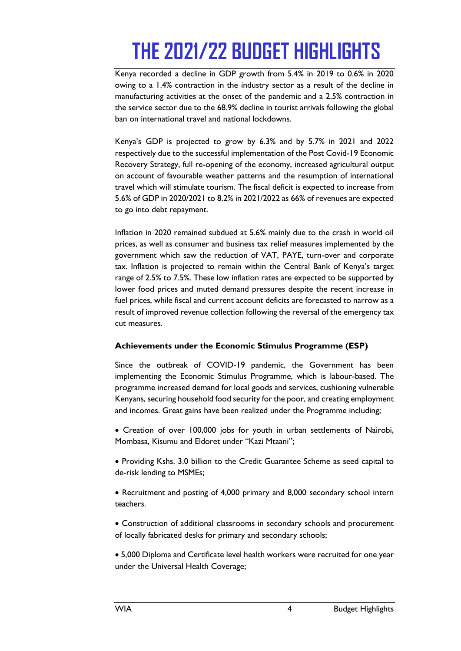Kenya recorded a decline in GDP growth from 5.4% in 2019 to 0.6% in 2020 owing to a 1.4% contraction in the industry sector as a result of the decline in manufacturing activities at the onset of the pandemic and a 2.5% contraction in the service sector due to the 68.9% decline in tourist arrivals following the global ban on international travel and national lockdowns.

Kenya's GDP is projected to grow by 6.3% and by 5.7% in 2021 and 2022 respectively due to the successful implementation of the Post Covid-19 Economic Recovery Strategy, full re-opening of the economy, increased agricultural output on account of favourable weather patterns and the resumption of international travel which will stimulate tourism. The fiscal deficit is expected to increase from 5.6% of GDP in 2020/2021 to 8.2% in 2021/2022 as 66% of revenues are expected to go into debt repayment.

Inflation in 2020 remained subdued at 5.6% mainly due to the crash in world oil prices, as well as consumer and business tax relief measures implemented by the government which saw the reduction of VAT, PAYE, turn-over and corporate tax. Inflation is projected to remain within the Central Bank of Kenya's target range of 2.5% to 7.5%. These low inflation rates are expected to be supported by lower food prices and muted demand pressures despite the recent increase in fuel prices, while fiscal and current account deficits are forecasted to narrow as a result of improved revenue collection following the reversal of the emergency tax cut measures.

## **Achievements under the Economic Stimulus Programme (ESP)**

Since the outbreak of COVID-19 pandemic, the Government has been implementing the Economic Stimulus Programme, which is labour-based. The programme increased demand for local goods and services, cushioning vulnerable Kenyans, securing household food security for the poor, and creating employment and incomes. Great gains have been realized under the Programme including;

• Creation of over 100,000 jobs for youth in urban settlements of Nairobi, Mombasa, Kisumu and Eldoret under "Kazi Mtaani";

• Providing Kshs. 3.0 billion to the Credit Guarantee Scheme as seed capital to de-risk lending to MSMEs;

• Recruitment and posting of 4,000 primary and 8,000 secondary school intern teachers.

• Construction of additional classrooms in secondary schools and procurement of locally fabricated desks for primary and secondary schools;

• 5,000 Diploma and Certificate level health workers were recruited for one year under the Universal Health Coverage;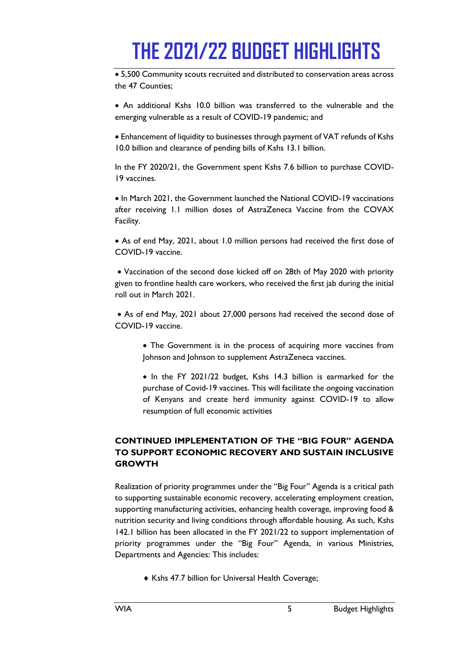• 5,500 Community scouts recruited and distributed to conservation areas across the 47 Counties;

• An additional Kshs 10.0 billion was transferred to the vulnerable and the emerging vulnerable as a result of COVID-19 pandemic; and

• Enhancement of liquidity to businesses through payment of VAT refunds of Kshs 10.0 billion and clearance of pending bills of Kshs 13.1 billion.

In the FY 2020/21, the Government spent Kshs 7.6 billion to purchase COVID-19 vaccines.

• In March 2021, the Government launched the National COVID-19 vaccinations after receiving 1.1 million doses of AstraZeneca Vaccine from the COVAX Facility.

• As of end May, 2021, about 1.0 million persons had received the first dose of COVID-19 vaccine.

• Vaccination of the second dose kicked off on 28th of May 2020 with priority given to frontline health care workers, who received the first jab during the initial roll out in March 2021.

• As of end May, 2021 about 27,000 persons had received the second dose of COVID-19 vaccine.

• The Government is in the process of acquiring more vaccines from Johnson and Johnson to supplement AstraZeneca vaccines.

• In the FY 2021/22 budget, Kshs 14.3 billion is earmarked for the purchase of Covid-19 vaccines. This will facilitate the ongoing vaccination of Kenyans and create herd immunity against COVID-19 to allow resumption of full economic activities

## **CONTINUED IMPLEMENTATION OF THE "BIG FOUR" AGENDA TO SUPPORT ECONOMIC RECOVERY AND SUSTAIN INCLUSIVE GROWTH**

Realization of priority programmes under the "Big Four" Agenda is a critical path to supporting sustainable economic recovery, accelerating employment creation, supporting manufacturing activities, enhancing health coverage, improving food & nutrition security and living conditions through affordable housing. As such, Kshs 142.1 billion has been allocated in the FY 2021/22 to support implementation of priority programmes under the "Big Four" Agenda, in various Ministries, Departments and Agencies: This includes:

Kshs 47.7 billion for Universal Health Coverage;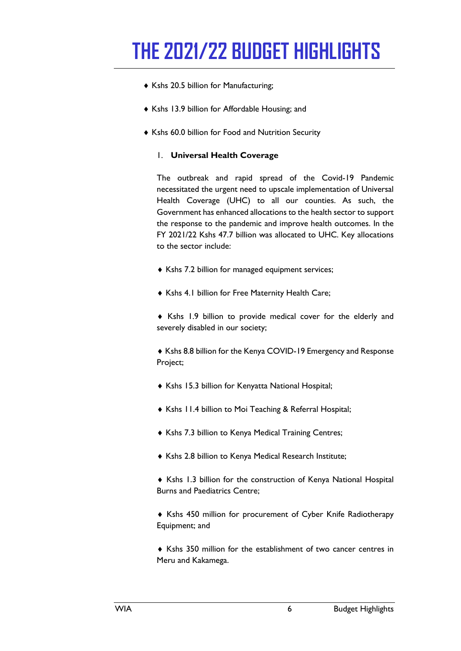- Kshs 20.5 billion for Manufacturing;
- Kshs 13.9 billion for Affordable Housing; and
- Kshs 60.0 billion for Food and Nutrition Security

### 1. **Universal Health Coverage**

The outbreak and rapid spread of the Covid-19 Pandemic necessitated the urgent need to upscale implementation of Universal Health Coverage (UHC) to all our counties. As such, the Government has enhanced allocations to the health sector to support the response to the pandemic and improve health outcomes. In the FY 2021/22 Kshs 47.7 billion was allocated to UHC. Key allocations to the sector include:

- Kshs 7.2 billion for managed equipment services;
- Kshs 4.1 billion for Free Maternity Health Care;

 Kshs 1.9 billion to provide medical cover for the elderly and severely disabled in our society;

 Kshs 8.8 billion for the Kenya COVID-19 Emergency and Response Project;

- Kshs 15.3 billion for Kenyatta National Hospital;
- Kshs 11.4 billion to Moi Teaching & Referral Hospital;
- Kshs 7.3 billion to Kenya Medical Training Centres;
- Kshs 2.8 billion to Kenya Medical Research Institute;

 Kshs 1.3 billion for the construction of Kenya National Hospital Burns and Paediatrics Centre;

 Kshs 450 million for procurement of Cyber Knife Radiotherapy Equipment; and

 Kshs 350 million for the establishment of two cancer centres in Meru and Kakamega.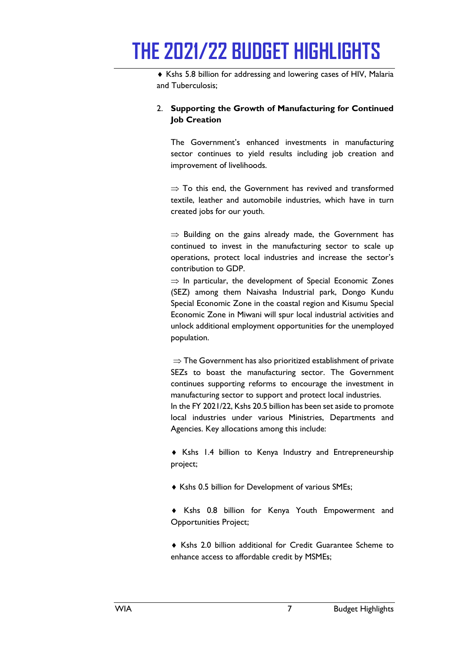Kshs 5.8 billion for addressing and lowering cases of HIV, Malaria and Tuberculosis;

### 2. **Supporting the Growth of Manufacturing for Continued Job Creation**

The Government's enhanced investments in manufacturing sector continues to yield results including job creation and improvement of livelihoods.

 $\Rightarrow$  To this end, the Government has revived and transformed textile, leather and automobile industries, which have in turn created jobs for our youth.

 $\Rightarrow$  Building on the gains already made, the Government has continued to invest in the manufacturing sector to scale up operations, protect local industries and increase the sector's contribution to GDP.

 $\Rightarrow$  In particular, the development of Special Economic Zones (SEZ) among them Naivasha Industrial park, Dongo Kundu Special Economic Zone in the coastal region and Kisumu Special Economic Zone in Miwani will spur local industrial activities and unlock additional employment opportunities for the unemployed population.

 $\Rightarrow$  The Government has also prioritized establishment of private SEZs to boast the manufacturing sector. The Government continues supporting reforms to encourage the investment in manufacturing sector to support and protect local industries. In the FY 2021/22, Kshs 20.5 billion has been set aside to promote local industries under various Ministries, Departments and

 Kshs 1.4 billion to Kenya Industry and Entrepreneurship project;

Kshs 0.5 billion for Development of various SMEs;

Agencies. Key allocations among this include:

 Kshs 0.8 billion for Kenya Youth Empowerment and Opportunities Project;

 Kshs 2.0 billion additional for Credit Guarantee Scheme to enhance access to affordable credit by MSMEs;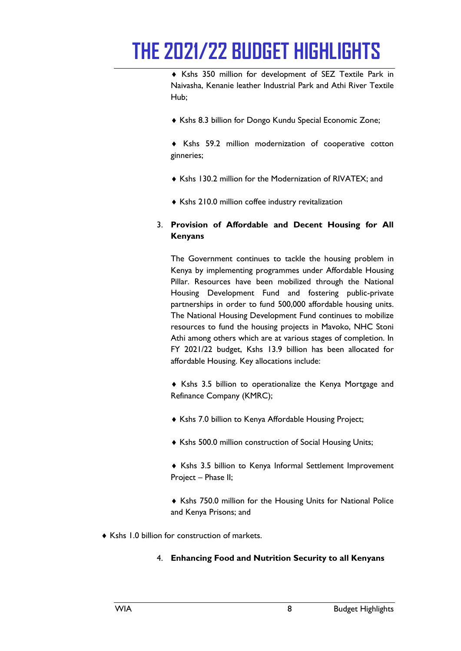Kshs 350 million for development of SEZ Textile Park in Naivasha, Kenanie leather Industrial Park and Athi River Textile Hub;

Kshs 8.3 billion for Dongo Kundu Special Economic Zone;

 Kshs 59.2 million modernization of cooperative cotton ginneries;

- Kshs 130.2 million for the Modernization of RIVATEX; and
- Kshs 210.0 million coffee industry revitalization

### 3. **Provision of Affordable and Decent Housing for All Kenyans**

The Government continues to tackle the housing problem in Kenya by implementing programmes under Affordable Housing Pillar. Resources have been mobilized through the National Housing Development Fund and fostering public-private partnerships in order to fund 500,000 affordable housing units. The National Housing Development Fund continues to mobilize resources to fund the housing projects in Mavoko, NHC Stoni Athi among others which are at various stages of completion. In FY 2021/22 budget, Kshs 13.9 billion has been allocated for affordable Housing. Key allocations include:

- Kshs 3.5 billion to operationalize the Kenya Mortgage and Refinance Company (KMRC);
- Kshs 7.0 billion to Kenya Affordable Housing Project;
- Kshs 500.0 million construction of Social Housing Units;
- Kshs 3.5 billion to Kenya Informal Settlement Improvement Project – Phase II;
- Kshs 750.0 million for the Housing Units for National Police and Kenya Prisons; and
- Kshs 1.0 billion for construction of markets.

## 4. **Enhancing Food and Nutrition Security to all Kenyans**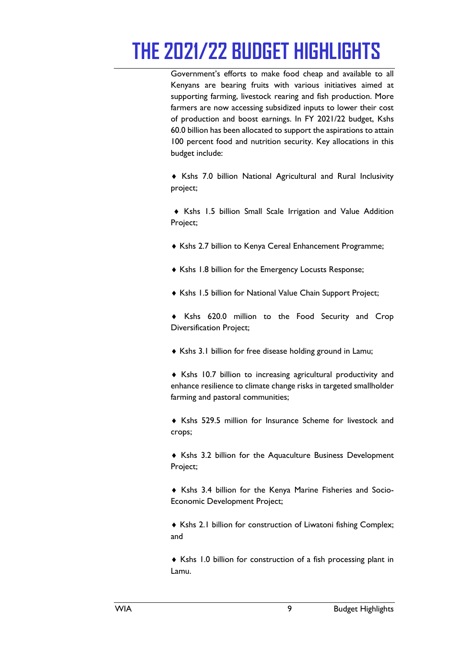Government's efforts to make food cheap and available to all Kenyans are bearing fruits with various initiatives aimed at supporting farming, livestock rearing and fish production. More farmers are now accessing subsidized inputs to lower their cost of production and boost earnings. In FY 2021/22 budget, Kshs 60.0 billion has been allocated to support the aspirations to attain 100 percent food and nutrition security. Key allocations in this budget include:

 Kshs 7.0 billion National Agricultural and Rural Inclusivity project;

 Kshs 1.5 billion Small Scale Irrigation and Value Addition Project;

- Kshs 2.7 billion to Kenya Cereal Enhancement Programme;
- Kshs 1.8 billion for the Emergency Locusts Response;
- Kshs 1.5 billion for National Value Chain Support Project;

 Kshs 620.0 million to the Food Security and Crop Diversification Project;

Kshs 3.1 billion for free disease holding ground in Lamu;

 Kshs 10.7 billion to increasing agricultural productivity and enhance resilience to climate change risks in targeted smallholder farming and pastoral communities;

 Kshs 529.5 million for Insurance Scheme for livestock and crops;

 Kshs 3.2 billion for the Aquaculture Business Development Project;

 Kshs 3.4 billion for the Kenya Marine Fisheries and Socio-Economic Development Project;

 Kshs 2.1 billion for construction of Liwatoni fishing Complex; and

 Kshs 1.0 billion for construction of a fish processing plant in Lamu.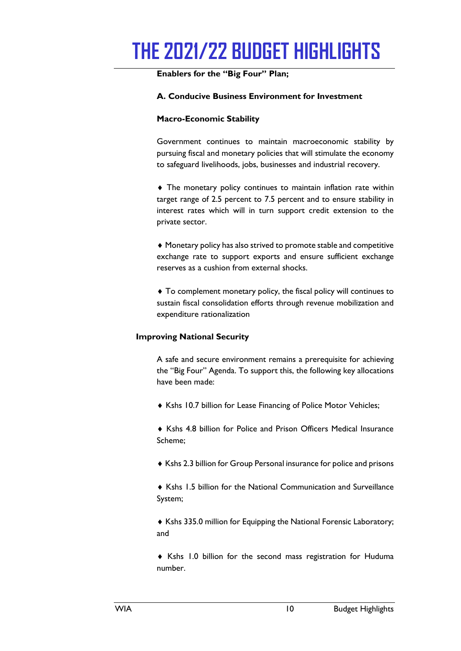### **Enablers for the "Big Four" Plan;**

### **A. Conducive Business Environment for Investment**

### **Macro-Economic Stability**

Government continues to maintain macroeconomic stability by pursuing fiscal and monetary policies that will stimulate the economy to safeguard livelihoods, jobs, businesses and industrial recovery.

 The monetary policy continues to maintain inflation rate within target range of 2.5 percent to 7.5 percent and to ensure stability in interest rates which will in turn support credit extension to the private sector.

 Monetary policy has also strived to promote stable and competitive exchange rate to support exports and ensure sufficient exchange reserves as a cushion from external shocks.

 To complement monetary policy, the fiscal policy will continues to sustain fiscal consolidation efforts through revenue mobilization and expenditure rationalization

### **Improving National Security**

A safe and secure environment remains a prerequisite for achieving the "Big Four" Agenda. To support this, the following key allocations have been made:

Kshs 10.7 billion for Lease Financing of Police Motor Vehicles;

 Kshs 4.8 billion for Police and Prison Officers Medical Insurance Scheme;

Kshs 2.3 billion for Group Personal insurance for police and prisons

 Kshs 1.5 billion for the National Communication and Surveillance System;

 Kshs 335.0 million for Equipping the National Forensic Laboratory; and

 Kshs 1.0 billion for the second mass registration for Huduma number.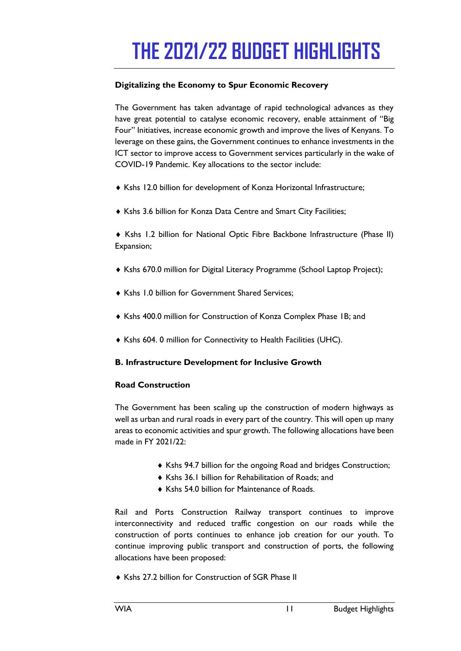### **Digitalizing the Economy to Spur Economic Recovery**

The Government has taken advantage of rapid technological advances as they have great potential to catalyse economic recovery, enable attainment of "Big Four" Initiatives, increase economic growth and improve the lives of Kenyans. To leverage on these gains, the Government continues to enhance investments in the ICT sector to improve access to Government services particularly in the wake of COVID-19 Pandemic. Key allocations to the sector include:

- Kshs 12.0 billion for development of Konza Horizontal Infrastructure;
- Kshs 3.6 billion for Konza Data Centre and Smart City Facilities;

 Kshs 1.2 billion for National Optic Fibre Backbone Infrastructure (Phase II) Expansion;

- Kshs 670.0 million for Digital Literacy Programme (School Laptop Project);
- Kshs 1.0 billion for Government Shared Services;
- Kshs 400.0 million for Construction of Konza Complex Phase 1B; and
- Kshs 604. 0 million for Connectivity to Health Facilities (UHC).

## **B. Infrastructure Development for Inclusive Growth**

### **Road Construction**

The Government has been scaling up the construction of modern highways as well as urban and rural roads in every part of the country. This will open up many areas to economic activities and spur growth. The following allocations have been made in FY 2021/22:

- Kshs 94.7 billion for the ongoing Road and bridges Construction;
- Kshs 36.1 billion for Rehabilitation of Roads; and
- ◆ Kshs 54.0 billion for Maintenance of Roads.

Rail and Ports Construction Railway transport continues to improve interconnectivity and reduced traffic congestion on our roads while the construction of ports continues to enhance job creation for our youth. To continue improving public transport and construction of ports, the following allocations have been proposed:

◆ Kshs 27.2 billion for Construction of SGR Phase II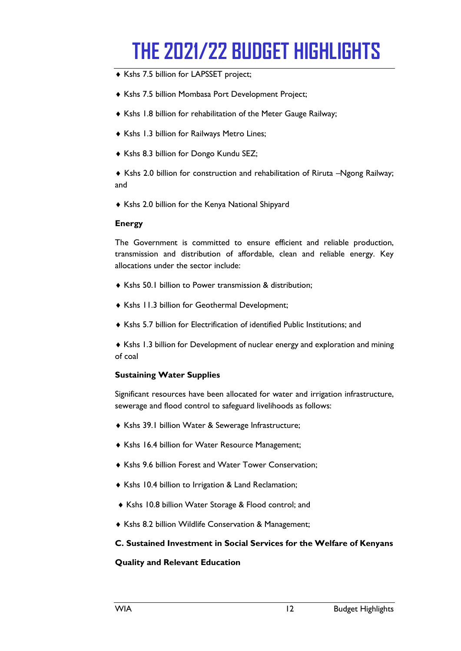- Kshs 7.5 billion for LAPSSET project;
- Kshs 7.5 billion Mombasa Port Development Project;
- Kshs 1.8 billion for rehabilitation of the Meter Gauge Railway;
- Kshs 1.3 billion for Railways Metro Lines;
- Kshs 8.3 billion for Dongo Kundu SEZ;

 Kshs 2.0 billion for construction and rehabilitation of Riruta –Ngong Railway; and

Kshs 2.0 billion for the Kenya National Shipyard

### **Energy**

The Government is committed to ensure efficient and reliable production, transmission and distribution of affordable, clean and reliable energy. Key allocations under the sector include:

- Kshs 50.1 billion to Power transmission & distribution;
- Kshs 11.3 billion for Geothermal Development;
- Kshs 5.7 billion for Electrification of identified Public Institutions; and

 Kshs 1.3 billion for Development of nuclear energy and exploration and mining of coal

## **Sustaining Water Supplies**

Significant resources have been allocated for water and irrigation infrastructure, sewerage and flood control to safeguard livelihoods as follows:

- Kshs 39.1 billion Water & Sewerage Infrastructure;
- Kshs 16.4 billion for Water Resource Management;
- Kshs 9.6 billion Forest and Water Tower Conservation;
- Kshs 10.4 billion to Irrigation & Land Reclamation;
- Kshs 10.8 billion Water Storage & Flood control; and
- Kshs 8.2 billion Wildlife Conservation & Management;

## **C. Sustained Investment in Social Services for the Welfare of Kenyans**

## **Quality and Relevant Education**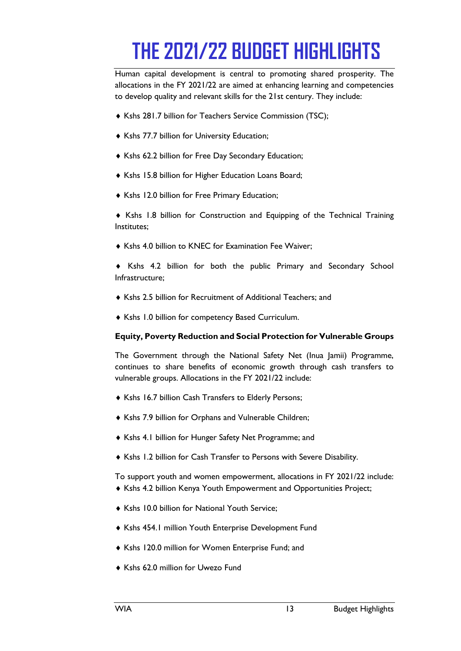Human capital development is central to promoting shared prosperity. The allocations in the FY 2021/22 are aimed at enhancing learning and competencies to develop quality and relevant skills for the 21st century. They include:

- Kshs 281.7 billion for Teachers Service Commission (TSC);
- Kshs 77.7 billion for University Education;
- Kshs 62.2 billion for Free Day Secondary Education;
- Kshs 15.8 billion for Higher Education Loans Board;
- Kshs 12.0 billion for Free Primary Education;

 Kshs 1.8 billion for Construction and Equipping of the Technical Training Institutes;

◆ Kshs 4.0 billion to KNEC for Examination Fee Waiver:

 Kshs 4.2 billion for both the public Primary and Secondary School Infrastructure;

- Kshs 2.5 billion for Recruitment of Additional Teachers; and
- Kshs 1.0 billion for competency Based Curriculum.

## **Equity, Poverty Reduction and Social Protection for Vulnerable Groups**

The Government through the National Safety Net (Inua Jamii) Programme, continues to share benefits of economic growth through cash transfers to vulnerable groups. Allocations in the FY 2021/22 include:

- Kshs 16.7 billion Cash Transfers to Elderly Persons;
- Kshs 7.9 billion for Orphans and Vulnerable Children;
- Kshs 4.1 billion for Hunger Safety Net Programme; and
- Kshs 1.2 billion for Cash Transfer to Persons with Severe Disability.

To support youth and women empowerment, allocations in FY 2021/22 include:

- Kshs 4.2 billion Kenya Youth Empowerment and Opportunities Project;
- ◆ Kshs 10.0 billion for National Youth Service:
- Kshs 454.1 million Youth Enterprise Development Fund
- Kshs 120.0 million for Women Enterprise Fund; and
- Kshs 62.0 million for Uwezo Fund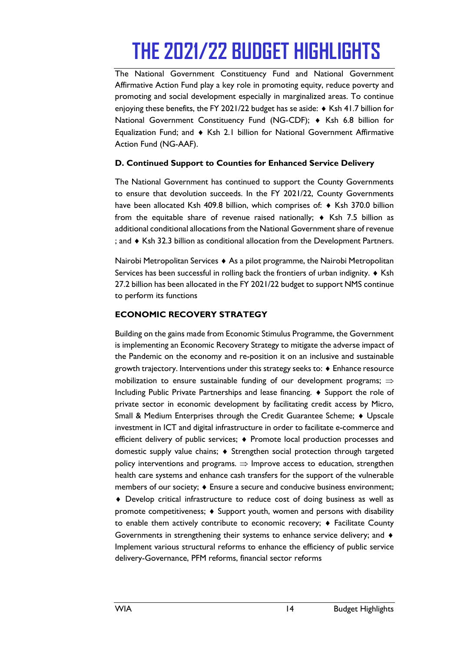The National Government Constituency Fund and National Government Affirmative Action Fund play a key role in promoting equity, reduce poverty and promoting and social development especially in marginalized areas. To continue enjoying these benefits, the FY 2021/22 budget has se aside:  $\triangleleft$  Ksh 41.7 billion for National Government Constituency Fund (NG-CDF);  $\blacklozenge$  Ksh 6.8 billion for Equalization Fund: and  $\bullet$  Ksh 2.1 billion for National Government Affirmative Action Fund (NG-AAF).

## **D. Continued Support to Counties for Enhanced Service Delivery**

The National Government has continued to support the County Governments to ensure that devolution succeeds. In the FY 2021/22, County Governments have been allocated Ksh 409.8 billion, which comprises of:  $\blacklozenge$  Ksh 370.0 billion from the equitable share of revenue raised nationally;  $\bullet$  Ksh 7.5 billion as additional conditional allocations from the National Government share of revenue  $;$  and  $\blacklozenge$  Ksh 32.3 billion as conditional allocation from the Development Partners.

Nairobi Metropolitan Services  $\triangleq$  As a pilot programme, the Nairobi Metropolitan Services has been successful in rolling back the frontiers of urban indignity.  $\triangle$  Ksh 27.2 billion has been allocated in the FY 2021/22 budget to support NMS continue to perform its functions

## **ECONOMIC RECOVERY STRATEGY**

Building on the gains made from Economic Stimulus Programme, the Government is implementing an Economic Recovery Strategy to mitigate the adverse impact of the Pandemic on the economy and re-position it on an inclusive and sustainable growth trajectory. Interventions under this strategy seeks to:  $\triangle$  Enhance resource mobilization to ensure sustainable funding of our development programs;  $\Rightarrow$ Including Public Private Partnerships and lease financing.  $\triangle$  Support the role of private sector in economic development by facilitating credit access by Micro, Small & Medium Enterprises through the Credit Guarantee Scheme; • Upscale investment in ICT and digital infrastructure in order to facilitate e-commerce and efficient delivery of public services;  $\blacklozenge$  Promote local production processes and domestic supply value chains;  $\blacklozenge$  Strengthen social protection through targeted policy interventions and programs.  $\Rightarrow$  Improve access to education, strengthen health care systems and enhance cash transfers for the support of the vulnerable members of our society;  $\blacklozenge$  Ensure a secure and conducive business environment; Develop critical infrastructure to reduce cost of doing business as well as promote competitiveness;  $\triangleleft$  Support youth, women and persons with disability to enable them actively contribute to economic recovery;  $\triangleleft$  Facilitate County Governments in strengthening their systems to enhance service delivery; and  $\triangleleft$ Implement various structural reforms to enhance the efficiency of public service delivery-Governance, PFM reforms, financial sector reforms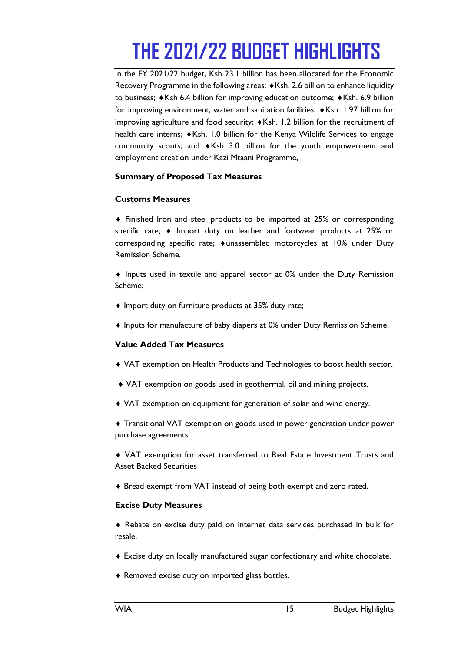In the FY 2021/22 budget, Ksh 23.1 billion has been allocated for the Economic Recovery Programme in the following areas:  $\blacklozenge$  Ksh. 2.6 billion to enhance liquidity to business;  $\triangle Ksh$  6.4 billion for improving education outcome;  $\triangle Ksh.$  6.9 billion for improving environment, water and sanitation facilities;  $\triangle$  Ksh. 1.97 billion for improving agriculture and food security;  $\triangleleft$  Ksh. 1.2 billion for the recruitment of health care interns;  $\triangleleft$  Ksh. 1.0 billion for the Kenya Wildlife Services to engage community scouts; and  $\blacklozenge$  Ksh 3.0 billion for the youth empowerment and employment creation under Kazi Mtaani Programme,

### **Summary of Proposed Tax Measures**

## **Customs Measures**

 Finished Iron and steel products to be imported at 25% or corresponding specific rate;  $\triangleleft$  Import duty on leather and footwear products at 25% or corresponding specific rate;  $\triangleleft$ unassembled motorcycles at 10% under Duty Remission Scheme.

- Inputs used in textile and apparel sector at 0% under the Duty Remission Scheme;
- $\bullet$  Import duty on furniture products at 35% duty rate;
- Inputs for manufacture of baby diapers at 0% under Duty Remission Scheme;

### **Value Added Tax Measures**

- VAT exemption on Health Products and Technologies to boost health sector.
- VAT exemption on goods used in geothermal, oil and mining projects.
- VAT exemption on equipment for generation of solar and wind energy.

 Transitional VAT exemption on goods used in power generation under power purchase agreements

 VAT exemption for asset transferred to Real Estate Investment Trusts and Asset Backed Securities

Bread exempt from VAT instead of being both exempt and zero rated.

### **Excise Duty Measures**

 Rebate on excise duty paid on internet data services purchased in bulk for resale.

- Excise duty on locally manufactured sugar confectionary and white chocolate.
- Removed excise duty on imported glass bottles.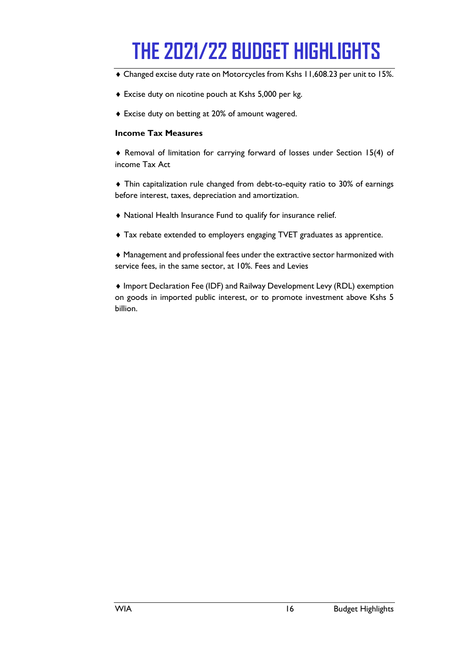- Changed excise duty rate on Motorcycles from Kshs 11,608.23 per unit to 15%.
- Excise duty on nicotine pouch at Kshs 5,000 per kg.
- Excise duty on betting at 20% of amount wagered.

### **Income Tax Measures**

 Removal of limitation for carrying forward of losses under Section 15(4) of income Tax Act

 Thin capitalization rule changed from debt-to-equity ratio to 30% of earnings before interest, taxes, depreciation and amortization.

- National Health Insurance Fund to qualify for insurance relief.
- Tax rebate extended to employers engaging TVET graduates as apprentice.

 Management and professional fees under the extractive sector harmonized with service fees, in the same sector, at 10%. Fees and Levies

 Import Declaration Fee (IDF) and Railway Development Levy (RDL) exemption on goods in imported public interest, or to promote investment above Kshs 5 billion.